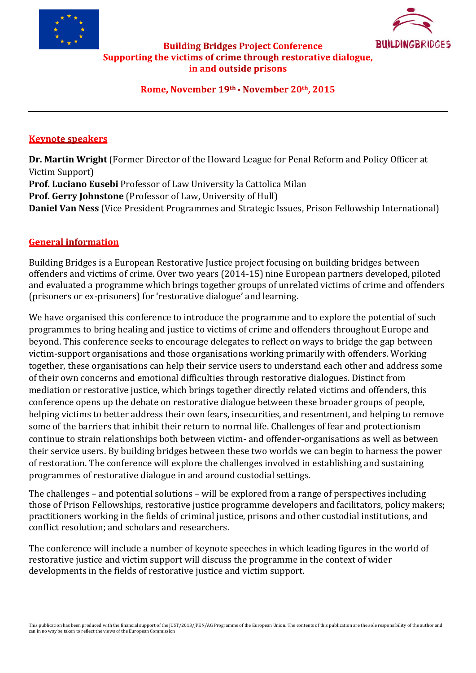



### **Building Bridges Project Conference** Supporting the victims of crime through restorative dialogue, in and outside prisons

#### Rome, November 19th - November 20th, 2015

#### **Keynote speakers**

**Dr. Martin Wright** (Former Director of the Howard League for Penal Reform and Policy Officer at Victim Support) **Prof. Luciano Eusebi** Professor of Law University la Cattolica Milan **Prof. Gerry Johnstone** (Professor of Law, University of Hull) **Daniel Van Ness** (Vice President Programmes and Strategic Issues, Prison Fellowship International)

### **General information**

Building Bridges is a European Restorative Justice project focusing on building bridges between offenders and victims of crime. Over two years (2014-15) nine European partners developed, piloted and evaluated a programme which brings together groups of unrelated victims of crime and offenders (prisoners or ex-prisoners) for 'restorative dialogue' and learning.

We have organised this conference to introduce the programme and to explore the potential of such programmes to bring healing and justice to victims of crime and offenders throughout Europe and beyond. This conference seeks to encourage delegates to reflect on ways to bridge the gap between victim-support organisations and those organisations working primarily with offenders. Working together, these organisations can help their service users to understand each other and address some of their own concerns and emotional difficulties through restorative dialogues. Distinct from mediation or restorative justice, which brings together directly related victims and offenders, this conference opens up the debate on restorative dialogue between these broader groups of people, helping victims to better address their own fears, insecurities, and resentment, and helping to remove some of the barriers that inhibit their return to normal life. Challenges of fear and protectionism continue to strain relationships both between victim- and offender-organisations as well as between their service users. By building bridges between these two worlds we can begin to harness the power of restoration. The conference will explore the challenges involved in establishing and sustaining programmes of restorative dialogue in and around custodial settings.

The challenges – and potential solutions – will be explored from a range of perspectives including those of Prison Fellowships, restorative justice programme developers and facilitators, policy makers; practitioners working in the fields of criminal justice, prisons and other custodial institutions, and conflict resolution; and scholars and researchers.

The conference will include a number of keynote speeches in which leading figures in the world of restorative justice and victim support will discuss the programme in the context of wider developments in the fields of restorative justice and victim support.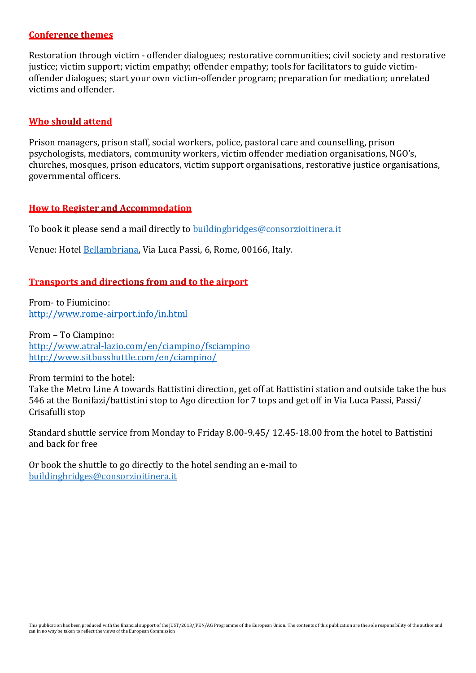#### **Conference themes**

Restoration through victim - offender dialogues; restorative communities; civil society and restorative justice; victim support; victim empathy; offender empathy; tools for facilitators to guide victimoffender dialogues; start your own victim-offender program; preparation for mediation; unrelated victims and offender.

#### **Who should attend**

Prison managers, prison staff, social workers, police, pastoral care and counselling, prison psychologists, mediators, community workers, victim offender mediation organisations, NGO's, churches, mosques, prison educators, victim support organisations, restorative justice organisations, governmental officers.

#### **How to Register and Accommodation**

To book it please send a mail directly to [buildingbridges@consorzioitinera.it](mailto:buildingbridges@consorzioitinera.it)

Venue: Hotel [Bellambriana,](http://www.bellambrianahotelrome.com/index.htm?lbl=ggl-en&gclid=CjwKEAjw2ImsBRCnjq70n_amv14SJAChXijN_h3hElb944aHx8Jl9Wu786vm17U38CLEsIio5ZSI5hoCrWjw_wcB) Via Luca Passi, 6, Rome, 00166, Italy.

#### **Transports and directions from and to the airport**

From- to Fiumicino: <http://www.rome-airport.info/in.html>

From – To Ciampino: <http://www.atral-lazio.com/en/ciampino/fsciampino> <http://www.sitbusshuttle.com/en/ciampino/>

From termini to the hotel:

Take the Metro Line A towards Battistini direction, get off at Battistini station and outside take the bus 546 at the Bonifazi/battistini stop to Ago direction for 7 tops and get off in Via Luca Passi, Passi/ Crisafulli stop

Standard shuttle service from Monday to Friday 8.00-9.45/ 12.45-18.00 from the hotel to Battistini and back for free

Or book the shuttle to go directly to the hotel sending an e-mail to [buildingbridges@consorzioitinera.it](mailto:buildingbridges@consorzioitinera.it)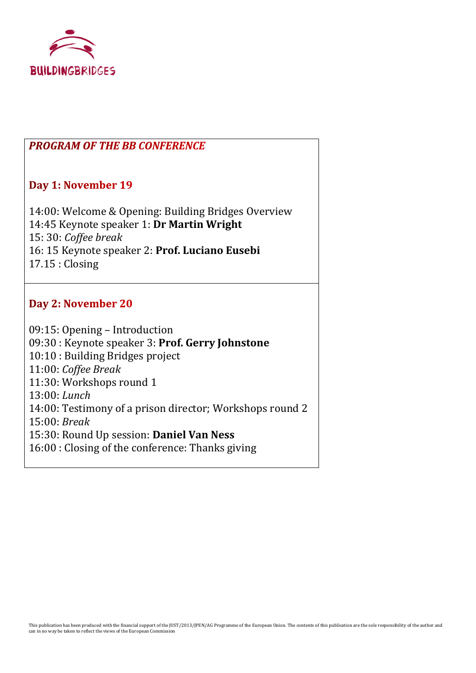

## **PROGRAM OF THE BB CONFERENCE**

## Day 1: November 19

14:00: Welcome & Opening: Building Bridges Overview 14:45 Keynote speaker 1: **Dr Martin Wright**  15: 30: *Coffee break* 16: 15 Keynote speaker 2: **Prof. Luciano Eusebi** 17.15 : Closing

# Day 2: November 20

09:15: Opening – Introduction 09:30 : Keynote speaker 3: **Prof. Gerry Johnstone** 10:10 : Building Bridges project 11:00: *Coffee Break* 11:30: Workshops round 1 13:00: *Lunch* 14:00: Testimony of a prison director; Workshops round 2 15:00: *Break* 15:30: Round Up session: **Daniel Van Ness** 16:00 : Closing of the conference: Thanks giving